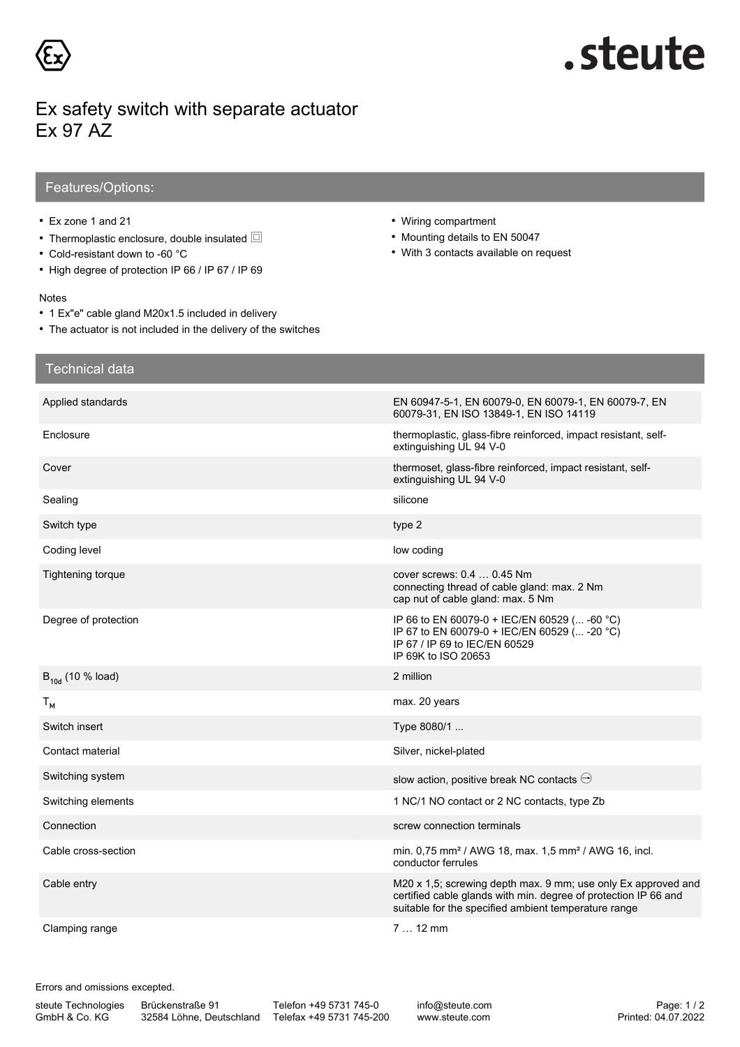

# .steute

### Ex safety switch with separate actuator Ex 97 AZ

### Features/Options:

- Ex zone 1 and 21
- Thermoplastic enclosure, double insulated *X*
- Cold-resistant down to -60 °C
- High degree of protection IP 66 / IP 67 / IP 69

#### Notes

- 1 Ex"e" cable gland M20x1.5 included in delivery
- The actuator is not included in the delivery of the switches
- Wiring compartment
- Mounting details to EN 50047
- With 3 contacts available on request

| <b>Technical data</b> |                                                                                                                                                                                          |
|-----------------------|------------------------------------------------------------------------------------------------------------------------------------------------------------------------------------------|
| Applied standards     | EN 60947-5-1, EN 60079-0, EN 60079-1, EN 60079-7, EN<br>60079-31, EN ISO 13849-1, EN ISO 14119                                                                                           |
| Enclosure             | thermoplastic, glass-fibre reinforced, impact resistant, self-<br>extinguishing UL 94 V-0                                                                                                |
| Cover                 | thermoset, glass-fibre reinforced, impact resistant, self-<br>extinguishing UL 94 V-0                                                                                                    |
| Sealing               | silicone                                                                                                                                                                                 |
| Switch type           | type 2                                                                                                                                                                                   |
| Coding level          | low coding                                                                                                                                                                               |
| Tightening torque     | cover screws: 0.4  0.45 Nm<br>connecting thread of cable gland: max. 2 Nm<br>cap nut of cable gland: max. 5 Nm                                                                           |
| Degree of protection  | IP 66 to EN 60079-0 + IEC/EN 60529 ( -60 °C)<br>IP 67 to EN 60079-0 + IEC/EN 60529 ( -20 °C)<br>IP 67 / IP 69 to IEC/EN 60529<br>IP 69K to ISO 20653                                     |
| $B_{10d}$ (10 % load) | 2 million                                                                                                                                                                                |
| $T_{M}$               | max. 20 years                                                                                                                                                                            |
| Switch insert         | Type 8080/1                                                                                                                                                                              |
| Contact material      | Silver, nickel-plated                                                                                                                                                                    |
| Switching system      | slow action, positive break NC contacts $\ominus$                                                                                                                                        |
| Switching elements    | 1 NC/1 NO contact or 2 NC contacts, type Zb                                                                                                                                              |
| Connection            | screw connection terminals                                                                                                                                                               |
| Cable cross-section   | min. 0,75 mm <sup>2</sup> / AWG 18, max. 1,5 mm <sup>2</sup> / AWG 16, incl.<br>conductor ferrules                                                                                       |
| Cable entry           | M20 x 1,5; screwing depth max. 9 mm; use only Ex approved and<br>certified cable glands with min. degree of protection IP 66 and<br>suitable for the specified ambient temperature range |
| Clamping range        | $712$ mm                                                                                                                                                                                 |

Errors and omissions excepted.